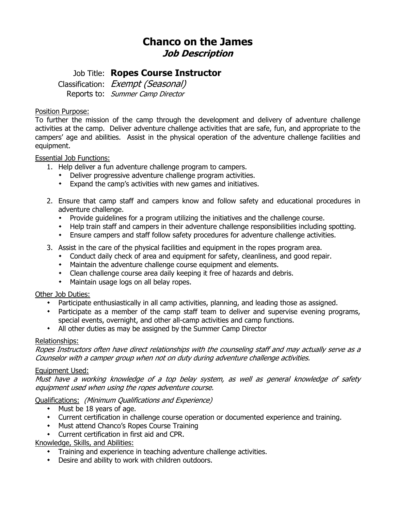# **Chanco on the James Job Description**

## Job Title: **Ropes Course Instructor**

Classification: Exempt (Seasonal) Reports to: Summer Camp Director

#### Position Purpose:

To further the mission of the camp through the development and delivery of adventure challenge activities at the camp. Deliver adventure challenge activities that are safe, fun, and appropriate to the campers' age and abilities. Assist in the physical operation of the adventure challenge facilities and equipment.

#### Essential Job Functions:

- 1. Help deliver a fun adventure challenge program to campers.
	- Deliver progressive adventure challenge program activities.
	- Expand the camp's activities with new games and initiatives.
- 2. Ensure that camp staff and campers know and follow safety and educational procedures in adventure challenge.
	- Provide guidelines for a program utilizing the initiatives and the challenge course.
	- Help train staff and campers in their adventure challenge responsibilities including spotting.
	- Ensure campers and staff follow safety procedures for adventure challenge activities.
- 3. Assist in the care of the physical facilities and equipment in the ropes program area.
	- Conduct daily check of area and equipment for safety, cleanliness, and good repair.
	- Maintain the adventure challenge course equipment and elements.
	- Clean challenge course area daily keeping it free of hazards and debris.
	- Maintain usage logs on all belay ropes.

#### Other Job Duties:

- Participate enthusiastically in all camp activities, planning, and leading those as assigned.
- Participate as a member of the camp staff team to deliver and supervise evening programs, special events, overnight, and other all-camp activities and camp functions.
- All other duties as may be assigned by the Summer Camp Director

#### Relationships:

Ropes Instructors often have direct relationships with the counseling staff and may actually serve as a Counselor with a camper group when not on duty during adventure challenge activities.

#### Equipment Used:

Must have a working knowledge of a top belay system, as well as general knowledge of safety equipment used when using the ropes adventure course.

#### Qualifications: (Minimum Qualifications and Experience)

- $\cdot$  Must be 18 years of age.
- Current certification in challenge course operation or documented experience and training.
- **\*** Must attend Chanco's Ropes Course Training
- Current certification in first aid and CPR.

### Knowledge, Skills, and Abilities:

- Training and experience in teaching adventure challenge activities.
- Desire and ability to work with children outdoors.